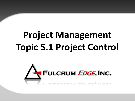# **Project Management Topic 5.1 Project Control**

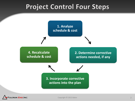#### **Project Control Four Steps**



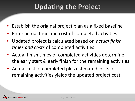# **Updating the Project**

- Establish the original project plan as a fixed baseline
- Enter actual time and cost of completed activities
- Updated project is calculated based on *actual finish times and costs* of completed activities
- Actual finish times of completed activities determine the early start & early finish for the remaining activities.
- Actual cost of completed plus estimated costs of remaining activities yields the updated project cost

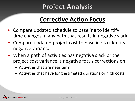# **Project Analysis**

#### **Corrective Action Focus**

- Compare updated schedule to baseline to identify time changes in any path that results in negative slack
- Compare updated project cost to baseline to identify negative variance.
- When a path of activities has negative slack or the project cost variance is negative focus corrections on:
	- Activities that are near term.
	- Activities that have long estimated durations or high costs.

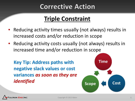### **Corrective Action**

#### **Triple Constraint**

- Reducing activity times usually (not always) results in increased costs and/or reduction in scope
- Reducing activity costs usually (not always) results in increased time and/or reduction in scope

**Key Tip: Address paths with negative slack values or cost variances** *as soon as they are identified*



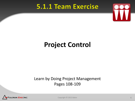#### **5.1.1 Team Exercise**



# **Project Control**

#### Learn by Doing Project Management Pages 108-109



Copyright © 2013 Baker